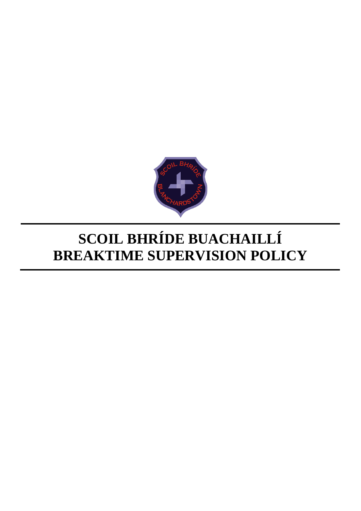

# **SCOIL BHRÍDE BUACHAILLÍ BREAKTIME SUPERVISION POLICY**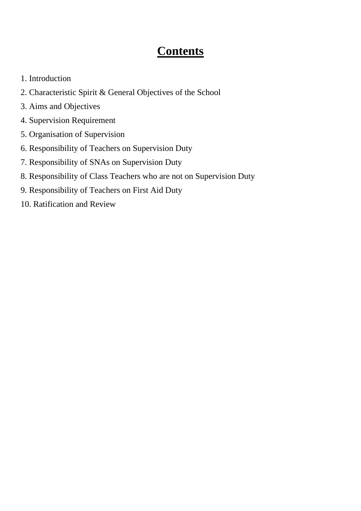# **Contents**

- 1. Introduction
- 2. Characteristic Spirit & General Objectives of the School
- 3. Aims and Objectives
- 4. Supervision Requirement
- 5. Organisation of Supervision
- 6. Responsibility of Teachers on Supervision Duty
- 7. Responsibility of SNAs on Supervision Duty
- 8. Responsibility of Class Teachers who are not on Supervision Duty
- 9. Responsibility of Teachers on First Aid Duty
- 10. Ratification and Review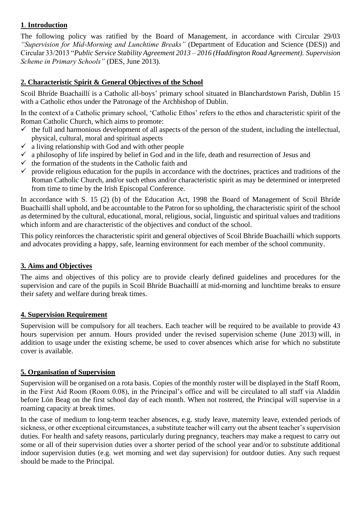#### **1**. **Introduction**

The following policy was ratified by the Board of Management, in accordance with Circular 29/03 *"Supervision for Mid-Morning and Lunchtime Breaks"* (Department of Education and Science (DES)) and Circular 33/2013 "*Public Service Stability Agreement 2013 – 2016 (Haddington Road Agreement). Supervision Scheme in Primary Schools"* (DES, June 2013).

### **2. Characteristic Spirit & General Objectives of the School**

Scoil Bhríde Buachaillí is a Catholic all-boys' primary school situated in Blanchardstown Parish, Dublin 15 with a Catholic ethos under the Patronage of the Archbishop of Dublin.

In the context of a Catholic primary school, 'Catholic Ethos' refers to the ethos and characteristic spirit of the Roman Catholic Church, which aims to promote:

- $\checkmark$  the full and harmonious development of all aspects of the person of the student, including the intellectual, physical, cultural, moral and spiritual aspects
- $\checkmark$  a living relationship with God and with other people
- $\checkmark$  a philosophy of life inspired by belief in God and in the life, death and resurrection of Jesus and
- $\checkmark$  the formation of the students in the Catholic faith and
- $\checkmark$  provide religious education for the pupils in accordance with the doctrines, practices and traditions of the Roman Catholic Church, and/or such ethos and/or characteristic spirit as may be determined or interpreted from time to time by the Irish Episcopal Conference.

In accordance with S. 15 (2) (b) of the Education Act, 1998 the Board of Management of Scoil Bhríde Buachaillí shall uphold, and be accountable to the Patron for so upholding, the characteristic spirit of the school as determined by the cultural, educational, moral, religious, social, linguistic and spiritual values and traditions which inform and are characteristic of the objectives and conduct of the school.

This policy reinforces the characteristic spirit and general objectives of Scoil Bhríde Buachaillí which supports and advocates providing a happy, safe, learning environment for each member of the school community.

#### **3. Aims and Objectives**

The aims and objectives of this policy are to provide clearly defined guidelines and procedures for the supervision and care of the pupils in Scoil Bhríde Buachaillí at mid-morning and lunchtime breaks to ensure their safety and welfare during break times.

#### **4. Supervision Requirement**

Supervision will be compulsory for all teachers. Each teacher will be required to be available to provide 43 hours supervision per annum. Hours provided under the revised supervision scheme (June 2013) will, in addition to usage under the existing scheme, be used to cover absences which arise for which no substitute cover is available.

#### **5. Organisation of Supervision**

Supervision will be organised on a rota basis. Copies of the monthly roster will be displayed in the Staff Room, in the First Aid Room (Room 0.08), in the Principal's office and will be circulated to all staff via Aladdin before Lón Beag on the first school day of each month. When not rostered, the Principal will supervise in a roaming capacity at break times.

In the case of medium to long-term teacher absences, e.g. study leave, maternity leave, extended periods of sickness, or other exceptional circumstances, a substitute teacher will carry out the absent teacher's supervision duties. For health and safety reasons, particularly during pregnancy, teachers may make a request to carry out some or all of their supervision duties over a shorter period of the school year and/or to substitute additional indoor supervision duties (e.g. wet morning and wet day supervision) for outdoor duties. Any such request should be made to the Principal.